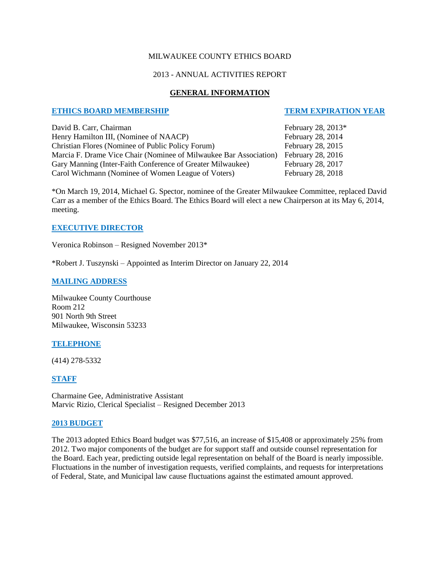### MILWAUKEE COUNTY ETHICS BOARD

### 2013 - ANNUAL ACTIVITIES REPORT

## **GENERAL INFORMATION**

### **ETHICS BOARD MEMBERSHIP TERM EXPIRATION YEAR**

David B. Carr, Chairman February 28, 2013<sup>\*</sup> Henry Hamilton III, (Nominee of NAACP) February 28, 2014 Christian Flores (Nominee of Public Policy Forum) February 28, 2015 Marcia F. Drame Vice Chair (Nominee of Milwaukee Bar Association) February 28, 2016 Gary Manning (Inter-Faith Conference of Greater Milwaukee) February 28, 2017 Carol Wichmann (Nominee of Women League of Voters) February 28, 2018

\*On March 19, 2014, Michael G. Spector, nominee of the Greater Milwaukee Committee, replaced David Carr as a member of the Ethics Board. The Ethics Board will elect a new Chairperson at its May 6, 2014, meeting.

### **EXECUTIVE DIRECTOR**

Veronica Robinson – Resigned November 2013\*

\*Robert J. Tuszynski – Appointed as Interim Director on January 22, 2014

### **MAILING ADDRESS**

Milwaukee County Courthouse Room 212 901 North 9th Street Milwaukee, Wisconsin 53233

# **TELEPHONE**

(414) 278-5332

# **STAFF**

Charmaine Gee, Administrative Assistant Marvic Rizio, Clerical Specialist – Resigned December 2013

### **2013 BUDGET**

The 2013 adopted Ethics Board budget was \$77,516, an increase of \$15,408 or approximately 25% from 2012. Two major components of the budget are for support staff and outside counsel representation for the Board. Each year, predicting outside legal representation on behalf of the Board is nearly impossible. Fluctuations in the number of investigation requests, verified complaints, and requests for interpretations of Federal, State, and Municipal law cause fluctuations against the estimated amount approved.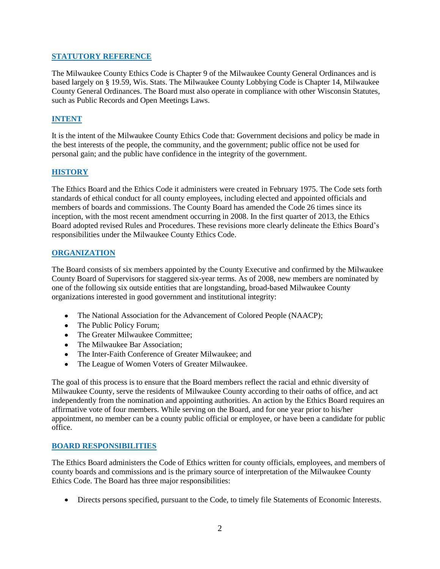### **STATUTORY REFERENCE**

The Milwaukee County Ethics Code is Chapter 9 of the Milwaukee County General Ordinances and is based largely on § 19.59, Wis. Stats. The Milwaukee County Lobbying Code is Chapter 14, Milwaukee County General Ordinances. The Board must also operate in compliance with other Wisconsin Statutes, such as Public Records and Open Meetings Laws.

# **INTENT**

It is the intent of the Milwaukee County Ethics Code that: Government decisions and policy be made in the best interests of the people, the community, and the government; public office not be used for personal gain; and the public have confidence in the integrity of the government.

### **HISTORY**

The Ethics Board and the Ethics Code it administers were created in February 1975. The Code sets forth standards of ethical conduct for all county employees, including elected and appointed officials and members of boards and commissions. The County Board has amended the Code 26 times since its inception, with the most recent amendment occurring in 2008. In the first quarter of 2013, the Ethics Board adopted revised Rules and Procedures. These revisions more clearly delineate the Ethics Board's responsibilities under the Milwaukee County Ethics Code.

#### **ORGANIZATION**

The Board consists of six members appointed by the County Executive and confirmed by the Milwaukee County Board of Supervisors for staggered six-year terms. As of 2008, new members are nominated by one of the following six outside entities that are longstanding, broad-based Milwaukee County organizations interested in good government and institutional integrity:

- The National Association for the Advancement of Colored People (NAACP);
- The Public Policy Forum;
- The Greater Milwaukee Committee:
- The Milwaukee Bar Association:
- The Inter-Faith Conference of Greater Milwaukee; and
- The League of Women Voters of Greater Milwaukee.  $\bullet$

The goal of this process is to ensure that the Board members reflect the racial and ethnic diversity of Milwaukee County, serve the residents of Milwaukee County according to their oaths of office, and act independently from the nomination and appointing authorities. An action by the Ethics Board requires an affirmative vote of four members. While serving on the Board, and for one year prior to his/her appointment, no member can be a county public official or employee, or have been a candidate for public office.

#### **BOARD RESPONSIBILITIES**

The Ethics Board administers the Code of Ethics written for county officials, employees, and members of county boards and commissions and is the primary source of interpretation of the Milwaukee County Ethics Code. The Board has three major responsibilities:

Directs persons specified, pursuant to the Code, to timely file Statements of Economic Interests.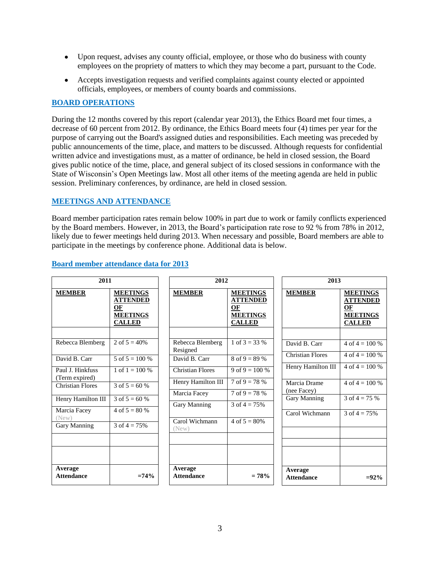- Upon request, advises any county official, employee, or those who do business with county employees on the propriety of matters to which they may become a part, pursuant to the Code.
- Accepts investigation requests and verified complaints against county elected or appointed officials, employees, or members of county boards and commissions.

# **BOARD OPERATIONS**

During the 12 months covered by this report (calendar year 2013), the Ethics Board met four times, a decrease of 60 percent from 2012. By ordinance, the Ethics Board meets four (4) times per year for the purpose of carrying out the Board's assigned duties and responsibilities. Each meeting was preceded by public announcements of the time, place, and matters to be discussed. Although requests for confidential written advice and investigations must, as a matter of ordinance, be held in closed session, the Board gives public notice of the time, place, and general subject of its closed sessions in conformance with the State of Wisconsin's Open Meetings law. Most all other items of the meeting agenda are held in public session. Preliminary conferences, by ordinance, are held in closed session.

# **MEETINGS AND ATTENDANCE**

Board member participation rates remain below 100% in part due to work or family conflicts experienced by the Board members. However, in 2013, the Board's participation rate rose to 92 % from 78% in 2012, likely due to fewer meetings held during 2013. When necessary and possible, Board members are able to participate in the meetings by conference phone. Additional data is below.

| 2011                               |                                                                              | 2012                         |                                                                              | 2013                         |                                                                              |
|------------------------------------|------------------------------------------------------------------------------|------------------------------|------------------------------------------------------------------------------|------------------------------|------------------------------------------------------------------------------|
| <b>MEMBER</b>                      | <b>MEETINGS</b><br><b>ATTENDED</b><br>OF<br><b>MEETINGS</b><br><b>CALLED</b> | <b>MEMBER</b>                | <b>MEETINGS</b><br><b>ATTENDED</b><br>OF<br><b>MEETINGS</b><br><b>CALLED</b> | <b>MEMBER</b>                | <b>MEETINGS</b><br><b>ATTENDED</b><br>OF<br><b>MEETINGS</b><br><b>CALLED</b> |
| Rebecca Blemberg                   | 2 of $5 = 40\%$                                                              | Rebecca Blemberg<br>Resigned | 1 of $3 = 33\%$                                                              | David B. Carr                | 4 of $4 = 100\%$                                                             |
| David B. Carr                      | $5 \text{ of } 5 = 100 \%$                                                   | David B. Carr                | $8 \text{ of } 9 = 89 \%$                                                    | <b>Christian Flores</b>      | 4 of $4 = 100\%$                                                             |
| Paul J. Hinkfuss<br>(Term expired) | 1 of $1 = 100\%$                                                             | <b>Christian Flores</b>      | 9 of 9 = 100 %                                                               | Henry Hamilton III           | $4$ of $4 = 100 %$                                                           |
| <b>Christian Flores</b>            | 3 of $5 = 60$ %                                                              | Henry Hamilton III           | $7 \text{ of } 9 = 78 \%$                                                    | Marcia Drame<br>(nee Facey)  | $4$ of $4 = 100 %$                                                           |
| Henry Hamilton III                 | 3 of $5 = 60$ %                                                              | Marcia Facey                 | $7 \text{ of } 9 = 78 \%$                                                    | Gary Manning                 | 3 of $4 = 75%$                                                               |
| Marcia Facey                       | 4 of $5 = 80%$                                                               | Gary Manning                 | 3 of $4 = 75\%$                                                              | Carol Wichmann               | 3 of $4 = 75%$                                                               |
| (New)<br>Gary Manning              | $3 \text{ of } 4 = 75\%$                                                     | Carol Wichmann<br>(New)      | $4 \text{ of } 5 = 80\%$                                                     |                              |                                                                              |
| Average<br><b>Attendance</b>       | $=74%$                                                                       | Average<br><b>Attendance</b> | $= 78%$                                                                      | Average<br><b>Attendance</b> | $= 92\%$                                                                     |

# **Board member attendance data for 2013**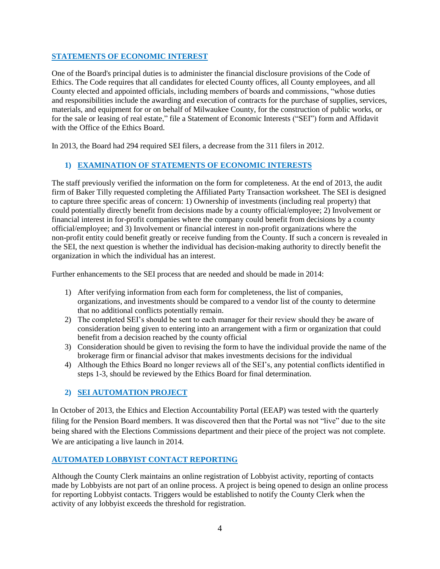## **STATEMENTS OF ECONOMIC INTEREST**

One of the Board's principal duties is to administer the financial disclosure provisions of the Code of Ethics. The Code requires that all candidates for elected County offices, all County employees, and all County elected and appointed officials, including members of boards and commissions, "whose duties and responsibilities include the awarding and execution of contracts for the purchase of supplies, services, materials, and equipment for or on behalf of Milwaukee County, for the construction of public works, or for the sale or leasing of real estate," file a Statement of Economic Interests ("SEI") form and Affidavit with the Office of the Ethics Board.

In 2013, the Board had 294 required SEI filers, a decrease from the 311 filers in 2012.

# **1) EXAMINATION OF STATEMENTS OF ECONOMIC INTERESTS**

The staff previously verified the information on the form for completeness. At the end of 2013, the audit firm of Baker Tilly requested completing the Affiliated Party Transaction worksheet. The SEI is designed to capture three specific areas of concern: 1) Ownership of investments (including real property) that could potentially directly benefit from decisions made by a county official/employee; 2) Involvement or financial interest in for-profit companies where the company could benefit from decisions by a county official/employee; and 3) Involvement or financial interest in non-profit organizations where the non-profit entity could benefit greatly or receive funding from the County. If such a concern is revealed in the SEI, the next question is whether the individual has decision-making authority to directly benefit the organization in which the individual has an interest.

Further enhancements to the SEI process that are needed and should be made in 2014:

- 1) After verifying information from each form for completeness, the list of companies, organizations, and investments should be compared to a vendor list of the county to determine that no additional conflicts potentially remain.
- 2) The completed SEI's should be sent to each manager for their review should they be aware of consideration being given to entering into an arrangement with a firm or organization that could benefit from a decision reached by the county official
- 3) Consideration should be given to revising the form to have the individual provide the name of the brokerage firm or financial advisor that makes investments decisions for the individual
- 4) Although the Ethics Board no longer reviews all of the SEI's, any potential conflicts identified in steps 1-3, should be reviewed by the Ethics Board for final determination.

# **2) SEI AUTOMATION PROJECT**

In October of 2013, the Ethics and Election Accountability Portal (EEAP) was tested with the quarterly filing for the Pension Board members. It was discovered then that the Portal was not "live" due to the site being shared with the Elections Commissions department and their piece of the project was not complete. We are anticipating a live launch in 2014.

# **AUTOMATED LOBBYIST CONTACT REPORTING**

Although the County Clerk maintains an online registration of Lobbyist activity, reporting of contacts made by Lobbyists are not part of an online process. A project is being opened to design an online process for reporting Lobbyist contacts. Triggers would be established to notify the County Clerk when the activity of any lobbyist exceeds the threshold for registration.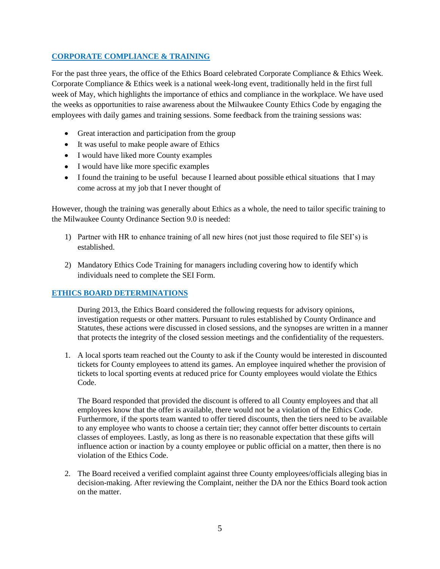# **CORPORATE COMPLIANCE & TRAINING**

For the past three years, the office of the Ethics Board celebrated Corporate Compliance & Ethics Week. Corporate Compliance & Ethics week is a national week-long event, traditionally held in the first full week of May, which highlights the importance of ethics and compliance in the workplace. We have used the weeks as opportunities to raise awareness about the Milwaukee County Ethics Code by engaging the employees with daily games and training sessions. Some feedback from the training sessions was:

- Great interaction and participation from the group
- It was useful to make people aware of Ethics
- I would have liked more County examples
- I would have like more specific examples
- I found the training to be useful because I learned about possible ethical situations that I may come across at my job that I never thought of

However, though the training was generally about Ethics as a whole, the need to tailor specific training to the Milwaukee County Ordinance Section 9.0 is needed:

- 1) Partner with HR to enhance training of all new hires (not just those required to file SEI's) is established.
- 2) Mandatory Ethics Code Training for managers including covering how to identify which individuals need to complete the SEI Form.

### **ETHICS BOARD DETERMINATIONS**

During 2013, the Ethics Board considered the following requests for advisory opinions, investigation requests or other matters. Pursuant to rules established by County Ordinance and Statutes, these actions were discussed in closed sessions, and the synopses are written in a manner that protects the integrity of the closed session meetings and the confidentiality of the requesters.

1. A local sports team reached out the County to ask if the County would be interested in discounted tickets for County employees to attend its games. An employee inquired whether the provision of tickets to local sporting events at reduced price for County employees would violate the Ethics Code.

The Board responded that provided the discount is offered to all County employees and that all employees know that the offer is available, there would not be a violation of the Ethics Code. Furthermore, if the sports team wanted to offer tiered discounts, then the tiers need to be available to any employee who wants to choose a certain tier; they cannot offer better discounts to certain classes of employees. Lastly, as long as there is no reasonable expectation that these gifts will influence action or inaction by a county employee or public official on a matter, then there is no violation of the Ethics Code.

2. The Board received a verified complaint against three County employees/officials alleging bias in decision-making. After reviewing the Complaint, neither the DA nor the Ethics Board took action on the matter.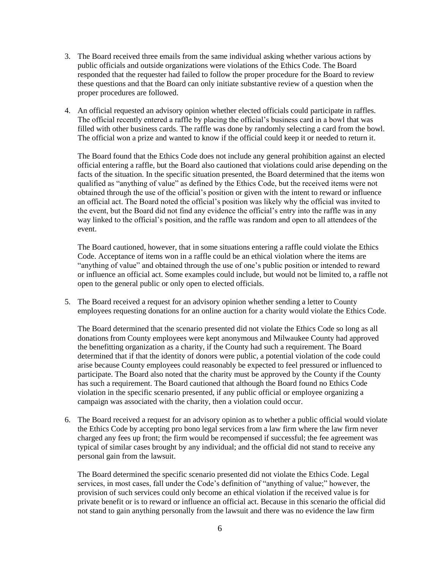- 3. The Board received three emails from the same individual asking whether various actions by public officials and outside organizations were violations of the Ethics Code. The Board responded that the requester had failed to follow the proper procedure for the Board to review these questions and that the Board can only initiate substantive review of a question when the proper procedures are followed.
- 4. An official requested an advisory opinion whether elected officials could participate in raffles. The official recently entered a raffle by placing the official's business card in a bowl that was filled with other business cards. The raffle was done by randomly selecting a card from the bowl. The official won a prize and wanted to know if the official could keep it or needed to return it.

The Board found that the Ethics Code does not include any general prohibition against an elected official entering a raffle, but the Board also cautioned that violations could arise depending on the facts of the situation. In the specific situation presented, the Board determined that the items won qualified as "anything of value" as defined by the Ethics Code, but the received items were not obtained through the use of the official's position or given with the intent to reward or influence an official act. The Board noted the official's position was likely why the official was invited to the event, but the Board did not find any evidence the official's entry into the raffle was in any way linked to the official's position, and the raffle was random and open to all attendees of the event.

The Board cautioned, however, that in some situations entering a raffle could violate the Ethics Code. Acceptance of items won in a raffle could be an ethical violation where the items are "anything of value" and obtained through the use of one's public position or intended to reward or influence an official act. Some examples could include, but would not be limited to, a raffle not open to the general public or only open to elected officials.

5. The Board received a request for an advisory opinion whether sending a letter to County employees requesting donations for an online auction for a charity would violate the Ethics Code.

The Board determined that the scenario presented did not violate the Ethics Code so long as all donations from County employees were kept anonymous and Milwaukee County had approved the benefitting organization as a charity, if the County had such a requirement. The Board determined that if that the identity of donors were public, a potential violation of the code could arise because County employees could reasonably be expected to feel pressured or influenced to participate. The Board also noted that the charity must be approved by the County if the County has such a requirement. The Board cautioned that although the Board found no Ethics Code violation in the specific scenario presented, if any public official or employee organizing a campaign was associated with the charity, then a violation could occur.

6. The Board received a request for an advisory opinion as to whether a public official would violate the Ethics Code by accepting pro bono legal services from a law firm where the law firm never charged any fees up front; the firm would be recompensed if successful; the fee agreement was typical of similar cases brought by any individual; and the official did not stand to receive any personal gain from the lawsuit.

The Board determined the specific scenario presented did not violate the Ethics Code. Legal services, in most cases, fall under the Code's definition of "anything of value;" however, the provision of such services could only become an ethical violation if the received value is for private benefit or is to reward or influence an official act. Because in this scenario the official did not stand to gain anything personally from the lawsuit and there was no evidence the law firm